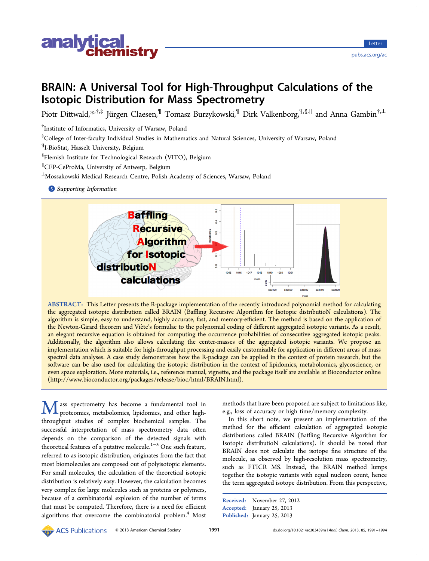# BRAIN: A Universal Tool for High-Throughput Calculations of the Isotopic Distribution for Mass Spectrometry

Piotr Dittwald,\*<sup>,†,‡</sup> Jürgen Claesen,<sup>¶</sup> Tomasz Burzykowski,<sup>¶</sup> Dirk Valkenborg,<sup>¶,§,∥</sup> and Anna Gambin<sup>†,⊥</sup>

† Institute of Infor[ma](#page-3-0)tics, University of Warsaw, Poland

‡ College of Inter-faculty Individual Studies in Mathematics and Natural Sciences, University of Warsaw, Poland

¶ I-BioStat, Hasselt University, Belgium

§ Flemish Institute for Technological Research (VITO), Belgium

∥ CFP-CeProMa, University of Antwerp, Belgium

<sup>⊥</sup>Mossakowski Medical Research Centre, Polish Academy of Sciences, Warsaw, Poland

**S** Supporting Information



ABSTRACT: This Letter presents the R-package implementation of the recently introduced polynomial method for calculating the aggregated isotopic distribution called BRAIN (Baffling Recursive Algorithm for Isotopic distributioN calculations). The algorithm is simple, easy to understand, highly accurate, fast, and memory-efficient. The method is based on the application of the Newton-Girard theorem and Viète's formulae to the polynomial coding of different aggregated isotopic variants. As a result, an elegant recursive equation is obtained for computing the occurrence probabilities of consecutive aggregated isotopic peaks. Additionally, the algorithm also allows calculating the center-masses of the aggregated isotopic variants. We propose an implementation which is suitable for high-throughput processing and easily customizable for application in different areas of mass spectral data analyses. A case study demonstrates how the R-package can be applied in the context of protein research, but the software can be also used for calculating the isotopic distribution in the context of lipidomics, metabolomics, glycoscience, or even space exploration. More materials, i.e., reference manual, vignette, and the package itself are available at Bioconductor online (http://www.bioconductor.org/packages/release/bioc/html/BRAIN.html).

[Mass](http://www.bioconductor.org/packages/release/bioc/html/BRAIN.html) [spectrometry](http://www.bioconductor.org/packages/release/bioc/html/BRAIN.html) [has](http://www.bioconductor.org/packages/release/bioc/html/BRAIN.html) [become](http://www.bioconductor.org/packages/release/bioc/html/BRAIN.html) [a](http://www.bioconductor.org/packages/release/bioc/html/BRAIN.html) [fundamental](http://www.bioconductor.org/packages/release/bioc/html/BRAIN.html) [tool](http://www.bioconductor.org/packages/release/bioc/html/BRAIN.html) [in](http://www.bioconductor.org/packages/release/bioc/html/BRAIN.html) proteomics, metabolomics, lipidomics, and other highthroughput studies of complex biochemical samples. The successful interpretation of mass spectrometry data often depends on the comparison of the detected signals with theoretical features of a putative molecule.<sup>1−3</sup> One such feature, referred to as isotopic distribution, originates from the fact that most biomolecules are composed out of [poly](#page-3-0)isotopic elements. For small molecules, the calculation of the theoretical isotopic distribution is relatively easy. However, the calculation becomes very complex for large molecules such as proteins or polymers, because of a combinatorial explosion of the number of terms that must be computed. Therefore, there is a need for efficient algorithms that overcome the combinatorial problem.<sup>4</sup> Most

methods that have been proposed are subject to limitations like, e.g., loss of accuracy or high time/memory complexity.

In this short note, we present an implementation of the method for the efficient calculation of aggregated isotopic distributions called BRAIN (Baffling Recursive Algorithm for Isotopic distributioN calculations). It should be noted that BRAIN does not calculate the isotope fine structure of the molecule, as observed by high-resolution mass spectrometry, such as FTICR MS. Instead, the BRAIN method lumps together the isotopic variants with equal nucleon count, hence the term aggregated isotope distribution. From this perspective,

Received: November 27, 2012 Accepted: January 25, 2013 Published: January 25, 2013

**ACS** Publications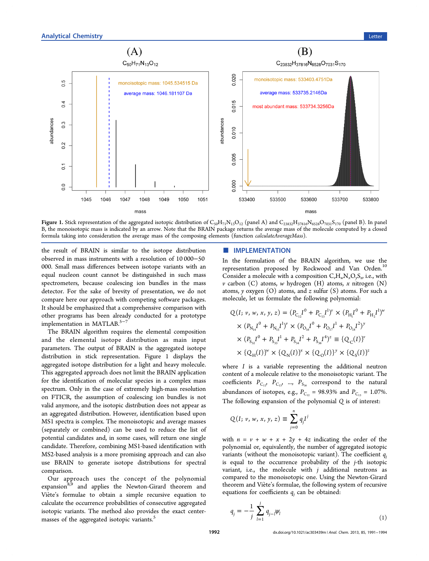<span id="page-1-0"></span>

Figure 1. Stick representation of the aggregated isotopic distribution of  $C_{50}H_{71}N_{13}O_{12}$  (panel A) and  $C_{23832}H_{37816}N_{6528}O_{7031}S_{170}$  (panel B). In panel B, the monoisotopic mass is indicated by an arrow. Note that the BRAIN package returns the average mass of the molecule computed by a closed formula taking into consideration the average mass of the composing elements (function calculateAverageMass).

the result of BRAIN is similar to the isotope distribution observed in mass instruments with a resolution of 10 000−50 000. Small mass differences between isotope variants with an equal nucleon count cannot be distinguished in such mass spectrometers, because coalescing ion bundles in the mass detector. For the sake of brevity of presentation, we do not compare here our approach with competing software packages. It should be emphasized that a comprehensive comparison with other programs has been already conducted for a prototype implementation in MATLAB.<sup>5−7</sup>

The BRAIN algorithm requires the elemental composition and the elemental isotop[e d](#page-3-0)istribution as main input parameters. The output of BRAIN is the aggregated isotope distribution in stick representation. Figure 1 displays the aggregated isotope distribution for a light and heavy molecule. This aggregated approach does not limit the BRAIN application for the identification of molecular species in a complex mass spectrum. Only in the case of extremely high-mass resolution on FTICR, the assumption of coalescing ion bundles is not valid anymore, and the isotopic distribution does not appear as an aggregated distribution. However, identification based upon MS1 spectra is complex. The monoisotopic and average masses (separately or combined) can be used to reduce the list of potential candidates and, in some cases, will return one single candidate. Therefore, combining MS1-based identification with MS2-based analysis is a more promising approach and can also use BRAIN to generate isotope distributions for spectral comparison.

Our approach uses the concept of the polynomial expansion<sup>8,9</sup> and applies the Newton-Girard theorem and Viète's formulae to obtain a simple recursive equation to calculate [the](#page-3-0) occurrence probabilities of consecutive aggregated isotopic variants. The method also provides the exact centermasses of the aggregated isotopic variants.<sup>5</sup>

### **■ IMPLEMENTATION**

In the formulation of the BRAIN algorithm, we use the representation proposed by Rockwood and Van Orden.<sup>10</sup> Consider a molecule with a composition  $C_vH_wN_xO_vS_z$ , i.e., with v carbon  $(C)$  atoms, w hydrogen  $(H)$  atoms, x nitrogen  $(N)$  $(N)$ atoms,  $\gamma$  oxygen (O) atoms, and  $z$  sulfur (S) atoms. For such a molecule, let us formulate the following polynomial:

$$
Q(I; v, w, x, y, z) = (P_{C_{12}}I^{0} + P_{C_{13}}I^{1})^{v} \times (P_{H_{1}}I^{0} + P_{H_{2}}I^{1})^{w}
$$
  
 
$$
\times (P_{N_{14}}I^{0} + P_{N_{15}}I^{1})^{v} \times (P_{O_{16}}I^{0} + P_{O_{17}}I^{1} + P_{O_{18}}I^{2})^{y}
$$
  
 
$$
\times (P_{S_{32}}I^{0} + P_{S_{33}}I^{1} + P_{S_{34}}I^{2} + P_{S_{36}}I^{4})^{z} \equiv \{Q_{C}(I)\}^{v}
$$
  
 
$$
\times \{Q_{H}(I)\}^{w} \times \{Q_{N}(I)\}^{x} \times \{Q_{O}(I)\}^{y} \times \{Q_{S}(I)\}^{z}
$$

where I is a variable representing the additional neutron content of a molecule relative to the monoisotopic variant. The coefficients  $P_{C_{12}}$ ,  $P_{C_{13}}$ , ...,  $P_{S_{36}}$  correspond to the natural abundances of isotopes, e.g.,  $P_{C_{12}} = 98.93\%$  and  $P_{C_{13}} = 1.07\%$ . The following expansion of the polynomial Q is of interest:

$$
Q(I; v, w, x, y, z) \equiv \sum_{j=0}^{n} q_j I^j
$$

with  $n = v + w + x + 2y + 4z$  indicating the order of the polynomial or, equivalently, the number of aggregated isotopic variants (without the monoisotopic variant). The coefficient  $q_i$ is equal to the occurrence probability of the  $j$ -th isotopic variant, i.e., the molecule with  $j$  additional neutrons as compared to the monoisotopic one. Using the Newton-Girard theorem and Viète's formulae, the following system of recursive equations for coefficients  $q_i$  can be obtained:

$$
q_j = -\frac{1}{j} \sum_{l=1}^j q_{j-l} \psi_l
$$
 (1)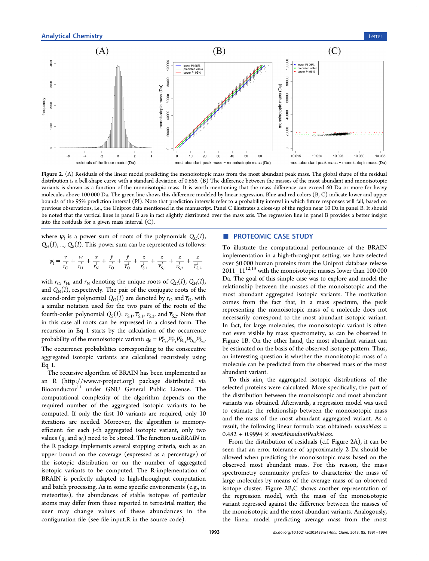

Figure 2. (A) Residuals of the linear model predicting the monoisotopic mass from the most abundant peak mass. The global shape of the residual distribution is a bell-shape curve with a standard deviation of 0.656. (B) The difference between the masses of the most abundant and monoisotopic variants is shown as a function of the monoisotopic mass. It is worth mentioning that the mass difference can exceed 60 Da or more for heavy molecules above 100 000 Da. The green line shows this difference modeled by linear regression. Blue and red colors (B, C) indicate lower and upper bounds of the 95% prediction interval (PI). Note that prediction intervals refer to a probability interval in which future responses will fall, based on previous observations, i.e., the Uniprot data mentioned in the manuscript. Panel C illustrates a close-up of the region near 10 Da in panel B. It should be noted that the vertical lines in panel B are in fact slightly distributed over the mass axis. The regression line in panel B provides a better insight into the residuals for a given mass interval (C).

where  $\psi_l$  is a power sum of roots of the polynomials  $Q_C(I)$ ,  $Q_H(I)$ , ...,  $Q_S(I)$ . This power sum can be represented as follows:

$$
\psi_l = \frac{v}{r_{\rm C}^l} + \frac{w}{r_{\rm H}^l} + \frac{x}{r_{\rm N}^l} + \frac{y}{r_{\rm O}^l} + \frac{y}{r_{\rm O}^l} + \frac{z}{r_{\rm S,1}^l} + \frac{z}{r_{\rm S,1}^l} + \frac{z}{r_{\rm S,2}^l} + \frac{z}{r_{\rm S,2}^l}
$$

with  $r_{\rm C}$ ,  $r_{\rm H}$ , and  $r_{\rm N}$  denoting the unique roots of  $Q_{\rm C}(I)$ ,  $Q_{\rm H}(I)$ , and  $Q_N(I)$ , respectively. The pair of the conjugate roots of the second-order polynomial  $Q_{\Omega}(I)$  are denoted by  $r_{\Omega}$  and  $\overline{r}_{\Omega}$ , with a similar notation used for the two pairs of the roots of the fourth-order polynomial  $Q_S(I)$ :  $r_{S,1}$ ,  $\overline{r}_{S,1}$ ,  $r_{S,2}$ , and  $\overline{r}_{S,2}$ . Note that in this case all roots can be expressed in a closed form. The recursion in Eq 1 starts by the calculation of the occurrence probability of the monoisotopic variant:  $q_0 = P_{C_{12}}^{\nu} P_{H_1}^{\omega} P_{N_{14}}^{\chi} P_{O_{16}}^{\nu} P_{S_{32}}^{\chi}$ . The occurrence [pr](#page-1-0)obabilities corresponding to the consecutive aggregated isotopic variants are calculated recursively using Eq 1.

The recursive algorithm of BRAIN has been implemented as an [R](#page-1-0) (http://www.r-project.org) package distributed via Bioconductor<sup>11</sup> under GNU General Public License. The computa[tional complexity of the](http://www.r-project.org) algorithm depends on the required nu[mb](#page-3-0)er of the aggregated isotopic variants to be computed. If only the first 10 variants are required, only 10 iterations are needed. Moreover, the algorithm is memoryefficient: for each j-th aggregated isotopic variant, only two values  $(q_j \text{ and } \psi_j)$  need to be stored. The function use $BRAIN$  in the R package implements several stopping criteria, such as an upper bound on the coverage (expressed as a percentage) of the isotopic distribution or on the number of aggregated isotopic variants to be computed. The R-implementation of BRAIN is perfectly adapted to high-throughput computation and batch processing. As in some specific environments (e.g., in meteorites), the abundances of stable isotopes of particular atoms may differ from those reported in terrestrial matter; the user may change values of these abundances in the configuration file (see file input.R in the source code).

# PROTEOMIC CASE STUDY

To illustrate the computational performance of the BRAIN implementation in a high-throughput setting, we have selected over 50 000 human proteins from the Uniprot database release 2011  $11^{12,13}$  with the monoisotopic masses lower than 100 000 Da. The goal of this simple case was to explore and model the relations[hip b](#page-3-0)etween the masses of the monoisotopic and the most abundant aggregated isotopic variants. The motivation comes from the fact that, in a mass spectrum, the peak representing the monoisotopic mass of a molecule does not necessarily correspond to the most abundant isotopic variant. In fact, for large molecules, the monoisotopic variant is often not even visible by mass spectrometry, as can be observed in Figure 1B. On the other hand, the most abundant variant can be estimated on the basis of the observed isotope pattern. Thus, an inte[re](#page-1-0)sting question is whether the monoisotopic mass of a molecule can be predicted from the observed mass of the most abundant variant.

To this aim, the aggregated isotopic distributions of the selected proteins were calculated. More specifically, the part of the distribution between the monoisotopic and most abundant variants was obtained. Afterwards, a regression model was used to estimate the relationship between the monoisotopic mass and the mass of the most abundant aggregated variant. As a result, the following linear formula was obtained: *monoMass* =  $0.482 + 0.9994 \times mostAbundant PeakMass.$ 

From the distribution of residuals (c.f. Figure 2A), it can be seen that an error tolerance of approximately 2 Da should be allowed when predicting the monoisotopic mass based on the observed most abundant mass. For this reason, the mass spectrometry community prefers to characterize the mass of large molecules by means of the average mass of an observed isotope cluster. Figure 2B,C shows another representation of the regression model, with the mass of the monoisotopic variant regressed against the difference between the masses of the monoisotopic and the most abundant variants. Analogously, the linear model predicting average mass from the most